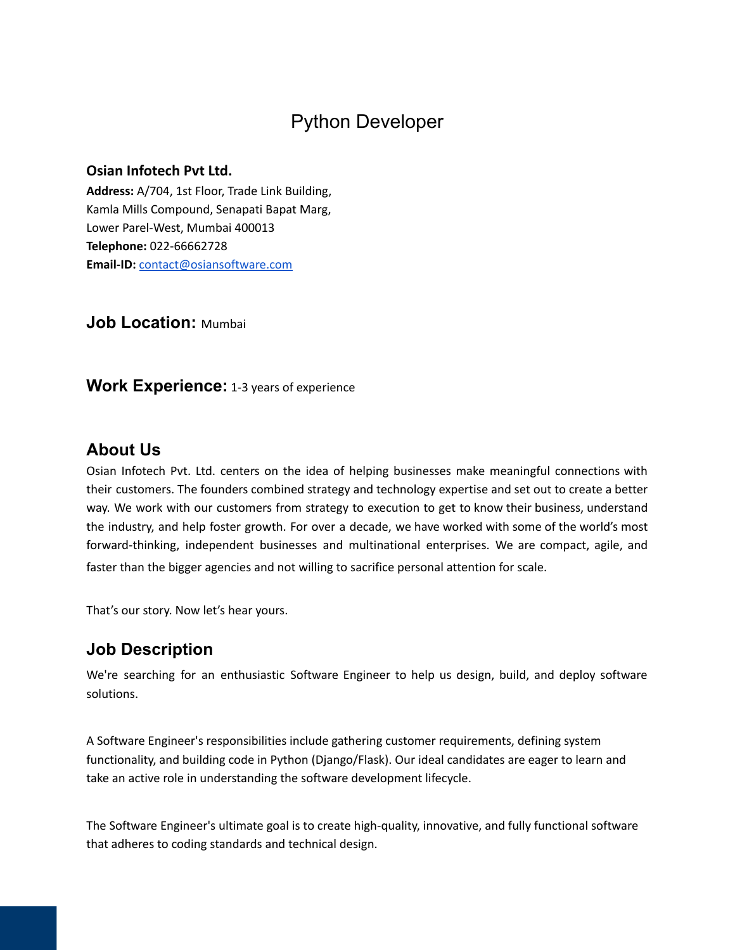# Python Developer

### **Osian Infotech Pvt Ltd.**

**Address:** A/704, 1st Floor, Trade Link Building, Kamla Mills Compound, Senapati Bapat Marg, Lower Parel-West, Mumbai 400013 **Telephone:** 022-66662728 **Email-ID:** [contact@osiansoftware.com](mailto:contact@osiansoftware.com)

**Job Location:** Mumbai

**Work Experience:** 1-3 years of experience

### **About Us**

Osian Infotech Pvt. Ltd. centers on the idea of helping businesses make meaningful connections with their customers. The founders combined strategy and technology expertise and set out to create a better way. We work with our customers from strategy to execution to get to know their business, understand the industry, and help foster growth. For over a decade, we have worked with some of the world's most forward-thinking, independent businesses and multinational enterprises. We are compact, agile, and faster than the bigger agencies and not willing to sacrifice personal attention for scale.

That's our story. Now let's hear yours.

### **Job Description**

We're searching for an enthusiastic Software Engineer to help us design, build, and deploy software solutions.

A Software Engineer's responsibilities include gathering customer requirements, defining system functionality, and building code in Python (Django/Flask). Our ideal candidates are eager to learn and take an active role in understanding the software development lifecycle.

The Software Engineer's ultimate goal is to create high-quality, innovative, and fully functional software that adheres to coding standards and technical design.